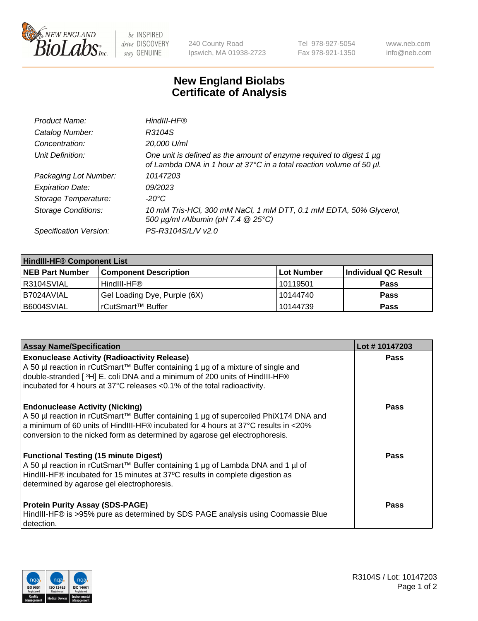

 $be$  INSPIRED drive DISCOVERY stay GENUINE

240 County Road Ipswich, MA 01938-2723 Tel 978-927-5054 Fax 978-921-1350 www.neb.com info@neb.com

## **New England Biolabs Certificate of Analysis**

| Product Name:              | HindIII-HF®                                                                                                                                 |
|----------------------------|---------------------------------------------------------------------------------------------------------------------------------------------|
| Catalog Number:            | R3104S                                                                                                                                      |
| Concentration:             | 20,000 U/ml                                                                                                                                 |
| Unit Definition:           | One unit is defined as the amount of enzyme required to digest 1 µg<br>of Lambda DNA in 1 hour at 37°C in a total reaction volume of 50 µl. |
| Packaging Lot Number:      | 10147203                                                                                                                                    |
| <b>Expiration Date:</b>    | 09/2023                                                                                                                                     |
| Storage Temperature:       | -20°C                                                                                                                                       |
| <b>Storage Conditions:</b> | 10 mM Tris-HCl, 300 mM NaCl, 1 mM DTT, 0.1 mM EDTA, 50% Glycerol,<br>500 μg/ml rAlbumin (pH 7.4 @ 25°C)                                     |
| Specification Version:     | PS-R3104S/L/V v2.0                                                                                                                          |

| <b>HindIII-HF® Component List</b> |                              |                   |                      |  |  |
|-----------------------------------|------------------------------|-------------------|----------------------|--|--|
| <b>NEB Part Number</b>            | <b>Component Description</b> | <b>Lot Number</b> | Individual QC Result |  |  |
| IR3104SVIAL                       | HindIII-HF®                  | 10119501          | <b>Pass</b>          |  |  |
| I B7024AVIAL                      | Gel Loading Dye, Purple (6X) | 10144740          | <b>Pass</b>          |  |  |
| B6004SVIAL                        | rCutSmart™ Buffer            | 10144739          | <b>Pass</b>          |  |  |

| <b>Assay Name/Specification</b>                                                                                                                                                                                                                                                                                                                                                         | Lot #10147203 |
|-----------------------------------------------------------------------------------------------------------------------------------------------------------------------------------------------------------------------------------------------------------------------------------------------------------------------------------------------------------------------------------------|---------------|
| <b>Exonuclease Activity (Radioactivity Release)</b><br>A 50 µl reaction in rCutSmart™ Buffer containing 1 µg of a mixture of single and<br>double-stranded [3H] E. coli DNA and a minimum of 200 units of HindIII-HF®                                                                                                                                                                   | <b>Pass</b>   |
| incubated for 4 hours at 37°C releases <0.1% of the total radioactivity.<br><b>Endonuclease Activity (Nicking)</b><br>A 50 µl reaction in rCutSmart™ Buffer containing 1 µg of supercoiled PhiX174 DNA and<br>$\vert$ a minimum of 60 units of HindIII-HF® incubated for 4 hours at 37°C results in <20%<br>conversion to the nicked form as determined by agarose gel electrophoresis. | <b>Pass</b>   |
| <b>Functional Testing (15 minute Digest)</b><br>A 50 µl reaction in rCutSmart™ Buffer containing 1 µg of Lambda DNA and 1 µl of<br>HindIII-HF® incubated for 15 minutes at 37°C results in complete digestion as<br>determined by agarose gel electrophoresis.                                                                                                                          | Pass          |
| <b>Protein Purity Assay (SDS-PAGE)</b><br>HindIII-HF® is >95% pure as determined by SDS PAGE analysis using Coomassie Blue<br>detection.                                                                                                                                                                                                                                                | Pass          |